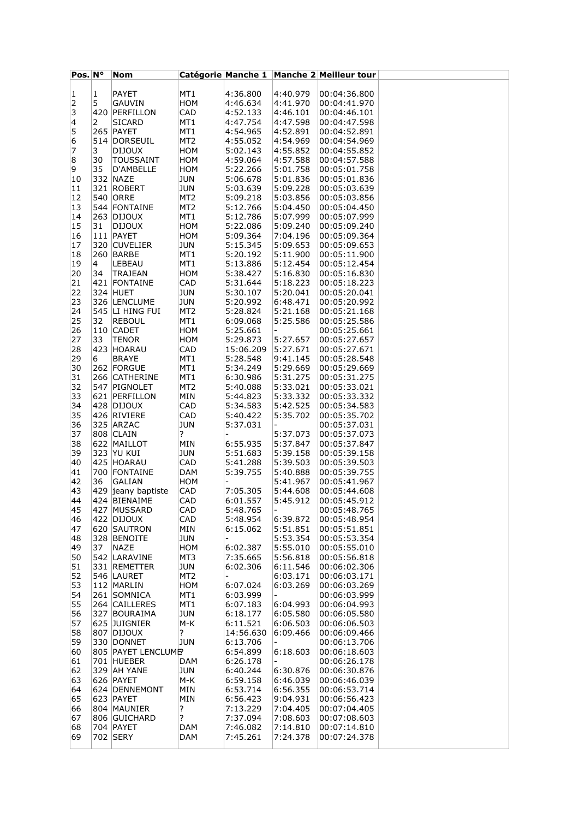| $Pos.$ N° |    | Nom                |                 |                          |                          | Catégorie Manche 1 Manche 2 Meilleur tour |  |
|-----------|----|--------------------|-----------------|--------------------------|--------------------------|-------------------------------------------|--|
|           |    |                    |                 |                          |                          |                                           |  |
| 1         | 1  | PAYET              | MT1             | 4:36.800                 | 4:40.979                 | 00:04:36.800                              |  |
| 2         | 5  | GAUVIN             | HOM             | 4:46.634                 | 4:41.970                 | 00:04:41.970                              |  |
| 3         |    | 420 PERFILLON      | CAD             | 4:52.133                 | 4:46.101                 | 00:04:46.101                              |  |
| 4         | 2  | SICARD             | MT1             | 4:47.754                 | 4:47.598                 | 00:04:47.598                              |  |
|           |    |                    |                 |                          |                          |                                           |  |
| 5         |    | <b>265 PAYET</b>   | MT1             | 4:54.965                 | 4:52.891                 | 00:04:52.891                              |  |
| 6         |    | 514 DORSEUIL       | MT <sub>2</sub> | 4:55.052                 | 4:54.969                 | 00:04:54.969                              |  |
| 7         | 3  | <b>DIJOUX</b>      | ном             | 5:02.143                 | 4:55.852                 | 00:04:55.852                              |  |
| 8         | 30 | <b>TOUSSAINT</b>   | HOM             | 4:59.064                 | 4:57.588                 | 00:04:57.588                              |  |
| 9         | 35 | D'AMBELLE          | HOM             | 5:22.266                 | 5:01.758                 | 00:05:01.758                              |  |
| 10        |    | 332 NAZE           | JUN             | 5:06.678                 | 5:01.836                 | 00:05:01.836                              |  |
| 11        |    | 321 ROBERT         | JUN             | 5:03.639                 | 5:09.228                 | 00:05:03.639                              |  |
| 12        |    | 540 ORRE           | MT2             | 5:09.218                 | 5:03.856                 | 00:05:03.856                              |  |
|           |    | 544 FONTAINE       |                 |                          |                          |                                           |  |
| 13        |    |                    | MT <sub>2</sub> | 5:12.766                 | 5:04.450                 | 00:05:04.450                              |  |
| 14        |    | 263 DIJOUX         | MT1             | 5:12.786                 | 5:07.999                 | 00:05:07.999                              |  |
| 15        | 31 | <b>DIJOUX</b>      | ном             | 5:22.086                 | 5:09.240                 | 00:05:09.240                              |  |
| 16        |    | 111   PAYET        | HOM             | 5:09.364                 | 7:04.196                 | 00:05:09.364                              |  |
| 17        |    | 320 CUVELIER       | JUN             | 5:15.345                 | 5:09.653                 | 00:05:09.653                              |  |
| 18        |    | 260 BARBE          | MT1             | 5:20.192                 | 5:11.900                 | 00:05:11.900                              |  |
| 19        | 4  | LEBEAU             | MT1             | 5:13.886                 | 5:12.454                 | 00:05:12.454                              |  |
| 20        | 34 | TRAJEAN            | HOM             | 5:38.427                 | 5:16.830                 | 00:05:16.830                              |  |
|           |    | 421 FONTAINE       |                 |                          |                          |                                           |  |
| 21        |    |                    | CAD             | 5:31.644                 | 5:18.223                 | 00:05:18.223                              |  |
| 22        |    | 324 HUET           | JUN             | 5:30.107                 | 5:20.041                 | 00:05:20.041                              |  |
| 23        |    | 326 LENCLUME       | JUN             | 5:20.992                 | 6:48.471                 | 00:05:20.992                              |  |
| 24        |    | 545 LI HING FUI    | MT <sub>2</sub> | 5:28.824                 | 5:21.168                 | 00:05:21.168                              |  |
| 25        | 32 | <b>REBOUL</b>      | MT1             | 6:09.068                 | 5:25.586                 | 00:05:25.586                              |  |
| 26        |    | 110 CADET          | ном             | 5:25.661                 | $\overline{\phantom{0}}$ | 00:05:25.661                              |  |
| 27        | 33 | <b>TENOR</b>       | HOM             | 5:29.873                 | 5:27.657                 | 00:05:27.657                              |  |
| 28        |    | 423 HOARAU         | CAD             | 15:06.209                | 5:27.671                 | 00:05:27.671                              |  |
| 29        | 6  | BRAYE              | MT1             | 5:28.548                 | 9:41.145                 | 00:05:28.548                              |  |
|           |    |                    |                 |                          |                          |                                           |  |
| 30        |    | 262 FORGUE         | MT1             | 5:34.249                 | 5:29.669                 | 00:05:29.669                              |  |
| 31        |    | 266 CATHERINE      | MT1             | 6:30.986                 | 5:31.275                 | 00:05:31.275                              |  |
| 32        |    | 547 PIGNOLET       | MT <sub>2</sub> | 5:40.088                 | 5:33.021                 | 00:05:33.021                              |  |
| 33        |    | 621 PERFILLON      | MIN             | 5:44.823                 | 5:33.332                 | 00:05:33.332                              |  |
| 34        |    | 428 DIJOUX         | CAD             | 5:34.583                 | 5:42.525                 | 00:05:34.583                              |  |
| 35        |    | 426 RIVIERE        | CAD             | 5:40.422                 | 5:35.702                 | 00:05:35.702                              |  |
| 36        |    | 325 ARZAC          | JUN             | 5:37.031                 |                          | 00:05:37.031                              |  |
| 37        |    | 808 CLAIN          | ?               | $\overline{\phantom{0}}$ | 5:37.073                 | 00:05:37.073                              |  |
| 38        |    | 622 MAILLOT        | MIN             | 6:55.935                 | 5:37.847                 | 00:05:37.847                              |  |
|           |    |                    |                 |                          |                          |                                           |  |
| 39        |    | 323 YU KUI         | JUN             | 5:51.683                 | 5:39.158                 | 00:05:39.158                              |  |
| 40        |    | 425 HOARAU         | CAD             | 5:41.288                 | 5:39.503                 | 00:05:39.503                              |  |
| 41        |    | 700 FONTAINE       | DAM             | 5:39.755                 | 5:40.888                 | 00:05:39.755                              |  |
| 42        | 36 | GALIAN             | ном             | $\overline{\phantom{a}}$ | 5:41.967                 | 00:05:41.967                              |  |
| 43        |    | 429 jeany baptiste | CAD             | 7:05.305                 | 5:44.608                 | 00:05:44.608                              |  |
| 44        |    | 424 BIENAIME       | CAD             | 6:01.557                 | 5:45.912                 | 00:05:45.912                              |  |
| 45        |    | 427 MUSSARD        | CAD             | 5:48.765                 |                          | 00:05:48.765                              |  |
| 46        |    | 422 DIJOUX         | CAD             | 5:48.954                 | 6:39.872                 | 00:05:48.954                              |  |
| 47        |    | 620 SAUTRON        | MIN             | 6:15.062                 | 5:51.851                 | 00:05:51.851                              |  |
| 48        |    | 328 BENOITE        | JUN             |                          | 5:53.354                 | 00:05:53.354                              |  |
| 49        | 37 | NAZE               | HOM             | 6:02.387                 | 5:55.010                 | 00:05:55.010                              |  |
|           |    |                    |                 |                          |                          |                                           |  |
| 50        |    | 542 LARAVINE       | MT3             | 7:35.665                 | 5:56.818                 | 00:05:56.818                              |  |
| 51        |    | 331 REMETTER       | <b>JUN</b>      | 6:02.306                 | 6:11.546                 | 00:06:02.306                              |  |
| 52        |    | 546 LAURET         | MT2             |                          | 6:03.171                 | 00:06:03.171                              |  |
| 53        |    | 112 MARLIN         | HOM             | 6:07.024                 | 6:03.269                 | 00:06:03.269                              |  |
| 54        |    | 261 SOMNICA        | MT1             | 6:03.999                 |                          | 00:06:03.999                              |  |
| 55        |    | 264 CAILLERES      | MT1             | 6:07.183                 | 6:04.993                 | 00:06:04.993                              |  |
| 56        |    | 327 BOURAIMA       | JUN             | 6:18.177                 | 6:05.580                 | 00:06:05.580                              |  |
| 57        |    | 625 JUIGNIER       | M-K             | 6:11.521                 | 6:06.503                 | 00:06:06.503                              |  |
| 58        |    | 807 DIJOUX         | ?               | 14:56.630                | 6:09.466                 | 00:06:09.466                              |  |
|           |    |                    |                 |                          |                          |                                           |  |
| 59        |    | 330 DONNET         | <b>JUN</b>      | 6:13.706                 |                          | 00:06:13.706                              |  |
| 60        |    | 805 PAYET LENCLUME |                 | 6:54.899                 | 6:18.603                 | 00:06:18.603                              |  |
| 61        |    | 701 HUEBER         | DAM             | 6:26.178                 |                          | 00:06:26.178                              |  |
| 62        |    | 329 AH YANE        | JUN             | 6:40.244                 | 6:30.876                 | 00:06:30.876                              |  |
| 63        |    | 626 PAYET          | M-K             | 6:59.158                 | 6:46.039                 | 00:06:46.039                              |  |
| 64        |    | 624 DENNEMONT      | MIN             | 6:53.714                 | 6:56.355                 | 00:06:53.714                              |  |
| 65        |    | 623 PAYET          | MIN             | 6:56.423                 | 9:04.931                 | 00:06:56.423                              |  |
| 66        |    | 804 MAUNIER        | ?               | 7:13.229                 | 7:04.405                 | 00:07:04.405                              |  |
| 67        |    | 806 GUICHARD       | ?               | 7:37.094                 | 7:08.603                 | 00:07:08.603                              |  |
| 68        |    | 704 PAYET          | DAM             | 7:46.082                 | 7:14.810                 | 00:07:14.810                              |  |
| 69        |    | 702 SERY           |                 |                          |                          | 00:07:24.378                              |  |
|           |    |                    | DAM             | 7:45.261                 | 7:24.378                 |                                           |  |
|           |    |                    |                 |                          |                          |                                           |  |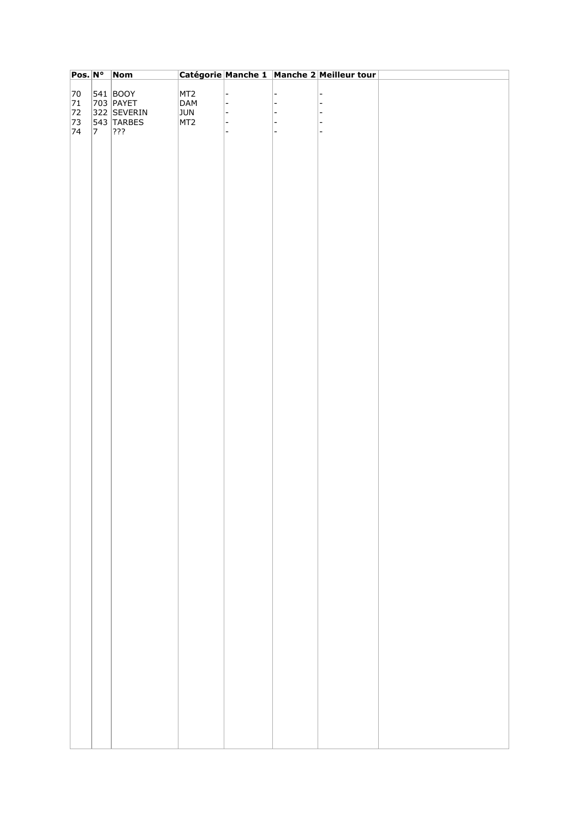| $Pos. N^{\circ}$ |             | Nom          |                 |                          | Catégorie Manche 1 Manche 2 Meilleur tour |  |
|------------------|-------------|--------------|-----------------|--------------------------|-------------------------------------------|--|
|                  |             |              |                 |                          |                                           |  |
| 70               |             | $ 541 $ BOOY | MT <sub>2</sub> | $\overline{\phantom{0}}$ | $\overline{a}$                            |  |
| 71               |             | 703 PAYET    | DAM             | $\overline{\phantom{a}}$ | $\overline{a}$                            |  |
| 72               |             | 322 SEVERIN  | <b>JUN</b>      | l –                      | $\overline{a}$                            |  |
| 73               |             | 543 TARBES   | MT <sub>2</sub> | $\blacksquare$           | ۰                                         |  |
| 74               | $ 7\rangle$ | ???          |                 | $\overline{\phantom{m}}$ | $\overline{\phantom{a}}$                  |  |
|                  |             |              |                 |                          |                                           |  |
|                  |             |              |                 |                          |                                           |  |
|                  |             |              |                 |                          |                                           |  |
|                  |             |              |                 |                          |                                           |  |
|                  |             |              |                 |                          |                                           |  |
|                  |             |              |                 |                          |                                           |  |
|                  |             |              |                 |                          |                                           |  |
|                  |             |              |                 |                          |                                           |  |
|                  |             |              |                 |                          |                                           |  |
|                  |             |              |                 |                          |                                           |  |
|                  |             |              |                 |                          |                                           |  |
|                  |             |              |                 |                          |                                           |  |
|                  |             |              |                 |                          |                                           |  |
|                  |             |              |                 |                          |                                           |  |
|                  |             |              |                 |                          |                                           |  |
|                  |             |              |                 |                          |                                           |  |
|                  |             |              |                 |                          |                                           |  |
|                  |             |              |                 |                          |                                           |  |
|                  |             |              |                 |                          |                                           |  |
|                  |             |              |                 |                          |                                           |  |
|                  |             |              |                 |                          |                                           |  |
|                  |             |              |                 |                          |                                           |  |
|                  |             |              |                 |                          |                                           |  |
|                  |             |              |                 |                          |                                           |  |
|                  |             |              |                 |                          |                                           |  |
|                  |             |              |                 |                          |                                           |  |
|                  |             |              |                 |                          |                                           |  |
|                  |             |              |                 |                          |                                           |  |
|                  |             |              |                 |                          |                                           |  |
|                  |             |              |                 |                          |                                           |  |
|                  |             |              |                 |                          |                                           |  |
|                  |             |              |                 |                          |                                           |  |
|                  |             |              |                 |                          |                                           |  |
|                  |             |              |                 |                          |                                           |  |
|                  |             |              |                 |                          |                                           |  |
|                  |             |              |                 |                          |                                           |  |
|                  |             |              |                 |                          |                                           |  |
|                  |             |              |                 |                          |                                           |  |
|                  |             |              |                 |                          |                                           |  |
|                  |             |              |                 |                          |                                           |  |
|                  |             |              |                 |                          |                                           |  |
|                  |             |              |                 |                          |                                           |  |
|                  |             |              |                 |                          |                                           |  |
|                  |             |              |                 |                          |                                           |  |
|                  |             |              |                 |                          |                                           |  |
|                  |             |              |                 |                          |                                           |  |
|                  |             |              |                 |                          |                                           |  |
|                  |             |              |                 |                          |                                           |  |
|                  |             |              |                 |                          |                                           |  |
|                  |             |              |                 |                          |                                           |  |
|                  |             |              |                 |                          |                                           |  |
|                  |             |              |                 |                          |                                           |  |
|                  |             |              |                 |                          |                                           |  |
|                  |             |              |                 |                          |                                           |  |
|                  |             |              |                 |                          |                                           |  |
|                  |             |              |                 |                          |                                           |  |
|                  |             |              |                 |                          |                                           |  |
|                  |             |              |                 |                          |                                           |  |
|                  |             |              |                 |                          |                                           |  |
|                  |             |              |                 |                          |                                           |  |
|                  |             |              |                 |                          |                                           |  |
|                  |             |              |                 |                          |                                           |  |
|                  |             |              |                 |                          |                                           |  |
|                  |             |              |                 |                          |                                           |  |
|                  |             |              |                 |                          |                                           |  |
|                  |             |              |                 |                          |                                           |  |
|                  |             |              |                 |                          |                                           |  |
|                  |             |              |                 |                          |                                           |  |
|                  |             |              |                 |                          |                                           |  |
|                  |             |              |                 |                          |                                           |  |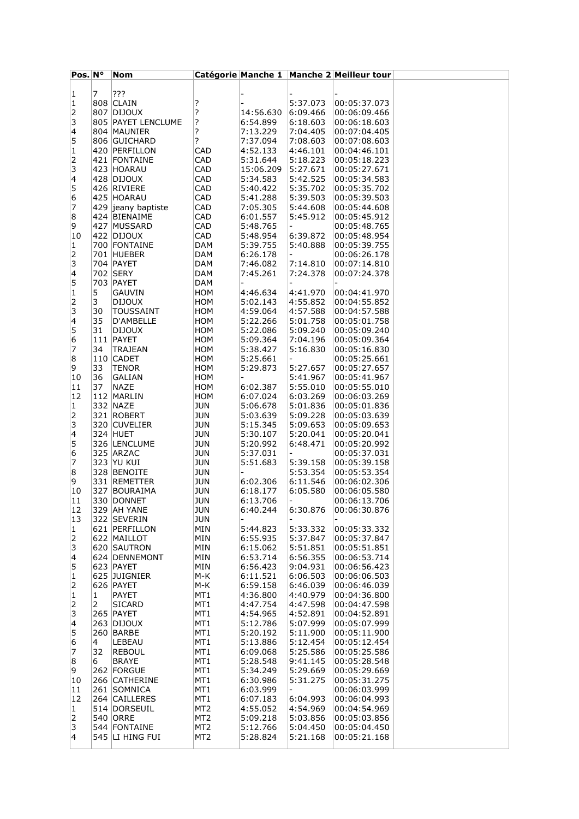| $Pos.$ N°               |     | Nom                |                 |           |                          | Catégorie Manche 1 Manche 2 Meilleur tour |  |
|-------------------------|-----|--------------------|-----------------|-----------|--------------------------|-------------------------------------------|--|
|                         |     |                    |                 |           |                          |                                           |  |
| 1                       | 7   | ???                |                 |           |                          |                                           |  |
|                         |     | 808 CLAIN          |                 |           |                          |                                           |  |
| 1                       |     |                    | ?               |           | 5:37.073                 | 00:05:37.073                              |  |
| 2                       |     | 807 DIJOUX         | ?               | 14:56.630 | 6:09.466                 | 00:06:09.466                              |  |
| 3                       |     | 805 PAYET LENCLUME | ?               | 6:54.899  | 6:18.603                 | 00:06:18.603                              |  |
| 4                       |     | 804 MAUNIER        | ?               | 7:13.229  | 7:04.405                 | 00:07:04.405                              |  |
| 5                       |     | 806 GUICHARD       | ?               | 7:37.094  | 7:08.603                 | 00:07:08.603                              |  |
|                         |     |                    |                 |           |                          |                                           |  |
| 1                       |     | 420 PERFILLON      | CAD             | 4:52.133  | 4:46.101                 | 00:04:46.101                              |  |
| 2                       |     | 421 FONTAINE       | CAD             | 5:31.644  | 5:18.223                 | 00:05:18.223                              |  |
| 3                       |     | 423 HOARAU         | CAD             | 15:06.209 | 5:27.671                 | 00:05:27.671                              |  |
| 4                       |     | 428 DIJOUX         | CAD             | 5:34.583  | 5:42.525                 | 00:05:34.583                              |  |
| 5                       |     | 426 RIVIERE        | CAD             | 5:40.422  | 5:35.702                 | 00:05:35.702                              |  |
|                         |     |                    |                 |           |                          |                                           |  |
| 6                       |     | 425 HOARAU         | CAD             | 5:41.288  | 5:39.503                 | 00:05:39.503                              |  |
| 7                       |     | 429 jeany baptiste | CAD             | 7:05.305  | 5:44.608                 | 00:05:44.608                              |  |
| 8                       |     | 424 BIENAIME       | CAD             | 6:01.557  | 5:45.912                 | 00:05:45.912                              |  |
| 9                       |     | 427 MUSSARD        | CAD             | 5:48.765  | $\blacksquare$           | 00:05:48.765                              |  |
| 10                      |     | 422 DIJOUX         | CAD             | 5:48.954  | 6:39.872                 | 00:05:48.954                              |  |
|                         |     |                    |                 |           |                          |                                           |  |
| 1                       |     | 700 FONTAINE       | DAM             | 5:39.755  | 5:40.888                 | 00:05:39.755                              |  |
| 2                       |     | 701 HUEBER         | <b>DAM</b>      | 6:26.178  | $\overline{\phantom{0}}$ | 00:06:26.178                              |  |
| 3                       |     | 704 PAYET          | DAM             | 7:46.082  | 7:14.810                 | 00:07:14.810                              |  |
| 4                       |     | 702 SERY           | <b>DAM</b>      | 7:45.261  | 7:24.378                 | 00:07:24.378                              |  |
| 5                       |     | 703   PAYET        | DAM             |           |                          |                                           |  |
|                         |     |                    |                 |           |                          |                                           |  |
| 1                       | 5   | GAUVIN             | <b>HOM</b>      | 4:46.634  | 4:41.970                 | 00:04:41.970                              |  |
| 2                       | 3   | <b>DIJOUX</b>      | <b>HOM</b>      | 5:02.143  | 4:55.852                 | 00:04:55.852                              |  |
| 3                       | 30  | TOUSSAINT          | HOM             | 4:59.064  | 4:57.588                 | 00:04:57.588                              |  |
| $\overline{\mathbf{4}}$ | 35  | D'AMBELLE          | <b>HOM</b>      | 5:22.266  | 5:01.758                 | 00:05:01.758                              |  |
| 5                       | 31  | <b>DIJOUX</b>      | <b>HOM</b>      | 5:22.086  | 5:09.240                 | 00:05:09.240                              |  |
|                         |     |                    |                 |           |                          |                                           |  |
| 6                       |     | 111 PAYET          | HOM             | 5:09.364  | 7:04.196                 | 00:05:09.364                              |  |
| 7                       | 34  | <b>TRAJEAN</b>     | <b>HOM</b>      | 5:38.427  | 5:16.830                 | 00:05:16.830                              |  |
| 8                       |     | 110 CADET          | <b>HOM</b>      | 5:25.661  | $\overline{\phantom{a}}$ | 00:05:25.661                              |  |
| 9                       | 33  | <b>TENOR</b>       | <b>HOM</b>      | 5:29.873  | 5:27.657                 | 00:05:27.657                              |  |
| 10                      | 36  | GALIAN             | <b>HOM</b>      |           | 5:41.967                 | 00:05:41.967                              |  |
|                         |     |                    |                 |           |                          |                                           |  |
| 11                      | 37  | NAZE               | <b>HOM</b>      | 6:02.387  | 5:55.010                 | 00:05:55.010                              |  |
| 12                      |     | 112 MARLIN         | HOM             | 6:07.024  | 6:03.269                 | 00:06:03.269                              |  |
| 1                       |     | 332 NAZE           | <b>JUN</b>      | 5:06.678  | 5:01.836                 | 00:05:01.836                              |  |
| 2                       |     | 321 ROBERT         | JUN             | 5:03.639  | 5:09.228                 | 00:05:03.639                              |  |
| 3                       |     | 320 CUVELIER       | <b>JUN</b>      | 5:15.345  | 5:09.653                 | 00:05:09.653                              |  |
| 4                       |     | 324 HUET           |                 | 5:30.107  | 5:20.041                 | 00:05:20.041                              |  |
|                         |     |                    | JUN             |           |                          |                                           |  |
| 5                       |     | 326 LENCLUME       | <b>JUN</b>      | 5:20.992  | 6:48.471                 | 00:05:20.992                              |  |
| 6                       |     | 325 ARZAC          | JUN             | 5:37.031  | $\overline{\phantom{a}}$ | 00:05:37.031                              |  |
| 7                       |     | 323 YU KUI         | <b>JUN</b>      | 5:51.683  | 5:39.158                 | 00:05:39.158                              |  |
| 8                       |     | 328 BENOITE        | <b>JUN</b>      |           | 5:53.354                 | 00:05:53.354                              |  |
| 9                       |     | 331 REMETTER       | JUN             | 6:02.306  | 6:11.546                 | 00:06:02.306                              |  |
|                         |     |                    |                 |           |                          |                                           |  |
| 10                      | 327 | BOURAIMA           | JUN             | 6:18.177  | 6:05.580                 | 00:06:05.580                              |  |
| 11                      |     | 330 DONNET         | JUN             | 6:13.706  | $\overline{\phantom{0}}$ | 00:06:13.706                              |  |
| 12                      |     | 329  AH YANE       | JUN             | 6:40.244  | 6:30.876                 | 00:06:30.876                              |  |
| 13                      |     | 322 SEVERIN        | <b>JUN</b>      |           |                          |                                           |  |
| 1                       |     | 621 PERFILLON      | MIN             | 5:44.823  | 5:33.332                 | 00:05:33.332                              |  |
|                         |     |                    |                 |           |                          |                                           |  |
| 2                       |     | 622 MAILLOT        | MIN             | 6:55.935  | 5:37.847                 | 00:05:37.847                              |  |
| 3                       |     | 620 SAUTRON        | MIN             | 6:15.062  | 5:51.851                 | 00:05:51.851                              |  |
| 4                       |     | 624 DENNEMONT      | MIN             | 6:53.714  | 6:56.355                 | 00:06:53.714                              |  |
| 5                       |     | 623 PAYET          | MIN             | 6:56.423  | 9:04.931                 | 00:06:56.423                              |  |
| 1                       |     | 625 JUIGNIER       | M-K             | 6:11.521  | 6:06.503                 | 00:06:06.503                              |  |
|                         |     |                    |                 |           |                          |                                           |  |
| 2                       |     | 626 PAYET          | M-K             | 6:59.158  | 6:46.039                 | 00:06:46.039                              |  |
| 1                       | 1   | <b>PAYET</b>       | MT1             | 4:36.800  | 4:40.979                 | 00:04:36.800                              |  |
| 2                       | 2   | <b>SICARD</b>      | MT1             | 4:47.754  | 4:47.598                 | 00:04:47.598                              |  |
| 3                       |     | <b>265 PAYET</b>   | MT1             | 4:54.965  | 4:52.891                 | 00:04:52.891                              |  |
| 4                       |     | 263 DIJOUX         | MT1             | 5:12.786  | 5:07.999                 | 00:05:07.999                              |  |
| 5                       |     | 260 BARBE          | MT1             | 5:20.192  | 5:11.900                 | 00:05:11.900                              |  |
|                         |     |                    |                 |           |                          |                                           |  |
| 6                       | 4   | LEBEAU             | MT1             | 5:13.886  | 5:12.454                 | 00:05:12.454                              |  |
| 7                       | 32  | <b>REBOUL</b>      | MT1             | 6:09.068  | 5:25.586                 | 00:05:25.586                              |  |
| 8                       | 6   | <b>BRAYE</b>       | MT1             | 5:28.548  | 9:41.145                 | 00:05:28.548                              |  |
| 9                       |     | 262 FORGUE         | MT1             | 5:34.249  | 5:29.669                 | 00:05:29.669                              |  |
| 10                      |     | 266 CATHERINE      | MT1             | 6:30.986  | 5:31.275                 | 00:05:31.275                              |  |
|                         |     |                    |                 |           |                          |                                           |  |
| 11                      |     | 261 SOMNICA        | MT1             | 6:03.999  |                          | 00:06:03.999                              |  |
| 12                      |     | 264 CAILLERES      | MT1             | 6:07.183  | 6:04.993                 | 00:06:04.993                              |  |
| 1                       |     | 514 DORSEUIL       | MT2             | 4:55.052  | 4:54.969                 | 00:04:54.969                              |  |
| 2                       |     | 540 ORRE           | MT <sub>2</sub> | 5:09.218  | 5:03.856                 | 00:05:03.856                              |  |
| 3                       |     | 544 FONTAINE       | MT <sub>2</sub> | 5:12.766  | 5:04.450                 | 00:05:04.450                              |  |
| 4                       |     |                    |                 |           |                          |                                           |  |
|                         |     | 545 LI HING FUI    | MT2             | 5:28.824  | 5:21.168                 | 00:05:21.168                              |  |
|                         |     |                    |                 |           |                          |                                           |  |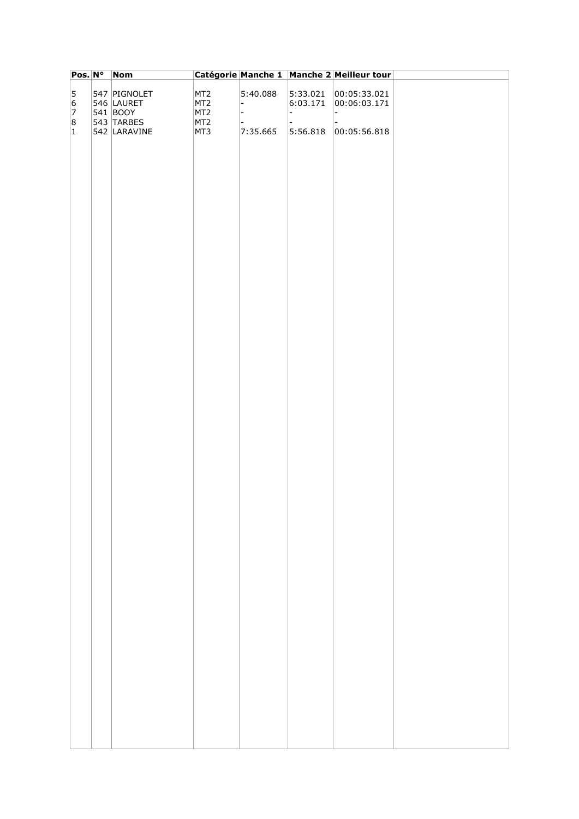| Pos. Nº   | <b>Nom</b>   |                 |                |          | Catégorie Manche 1 Manche 2 Meilleur tour |  |
|-----------|--------------|-----------------|----------------|----------|-------------------------------------------|--|
| 5         | 547 PIGNOLET | MT <sub>2</sub> | 5:40.088       | 5:33.021 | 00:05:33.021                              |  |
| 6         | 546 LAURET   | MT <sub>2</sub> | $\overline{a}$ | 6:03.171 | 00:06:03.171                              |  |
| 7         | 541 BOOY     | MT <sub>2</sub> | $\overline{a}$ | - 1      | l –                                       |  |
| 8         | 543 TARBES   | MT <sub>2</sub> |                |          |                                           |  |
| $\vert$ 1 | 542 LARAVINE | MT3             | 7:35.665       | 5:56.818 | 00:05:56.818                              |  |
|           |              |                 |                |          |                                           |  |
|           |              |                 |                |          |                                           |  |
|           |              |                 |                |          |                                           |  |
|           |              |                 |                |          |                                           |  |
|           |              |                 |                |          |                                           |  |
|           |              |                 |                |          |                                           |  |
|           |              |                 |                |          |                                           |  |
|           |              |                 |                |          |                                           |  |
|           |              |                 |                |          |                                           |  |
|           |              |                 |                |          |                                           |  |
|           |              |                 |                |          |                                           |  |
|           |              |                 |                |          |                                           |  |
|           |              |                 |                |          |                                           |  |
|           |              |                 |                |          |                                           |  |
|           |              |                 |                |          |                                           |  |
|           |              |                 |                |          |                                           |  |
|           |              |                 |                |          |                                           |  |
|           |              |                 |                |          |                                           |  |
|           |              |                 |                |          |                                           |  |
|           |              |                 |                |          |                                           |  |
|           |              |                 |                |          |                                           |  |
|           |              |                 |                |          |                                           |  |
|           |              |                 |                |          |                                           |  |
|           |              |                 |                |          |                                           |  |
|           |              |                 |                |          |                                           |  |
|           |              |                 |                |          |                                           |  |
|           |              |                 |                |          |                                           |  |
|           |              |                 |                |          |                                           |  |
|           |              |                 |                |          |                                           |  |
|           |              |                 |                |          |                                           |  |
|           |              |                 |                |          |                                           |  |
|           |              |                 |                |          |                                           |  |
|           |              |                 |                |          |                                           |  |
|           |              |                 |                |          |                                           |  |
|           |              |                 |                |          |                                           |  |
|           |              |                 |                |          |                                           |  |
|           |              |                 |                |          |                                           |  |
|           |              |                 |                |          |                                           |  |
|           |              |                 |                |          |                                           |  |
|           |              |                 |                |          |                                           |  |
|           |              |                 |                |          |                                           |  |
|           |              |                 |                |          |                                           |  |
|           |              |                 |                |          |                                           |  |
|           |              |                 |                |          |                                           |  |
|           |              |                 |                |          |                                           |  |
|           |              |                 |                |          |                                           |  |
|           |              |                 |                |          |                                           |  |
|           |              |                 |                |          |                                           |  |
|           |              |                 |                |          |                                           |  |
|           |              |                 |                |          |                                           |  |
|           |              |                 |                |          |                                           |  |
|           |              |                 |                |          |                                           |  |
|           |              |                 |                |          |                                           |  |
|           |              |                 |                |          |                                           |  |
|           |              |                 |                |          |                                           |  |
|           |              |                 |                |          |                                           |  |
|           |              |                 |                |          |                                           |  |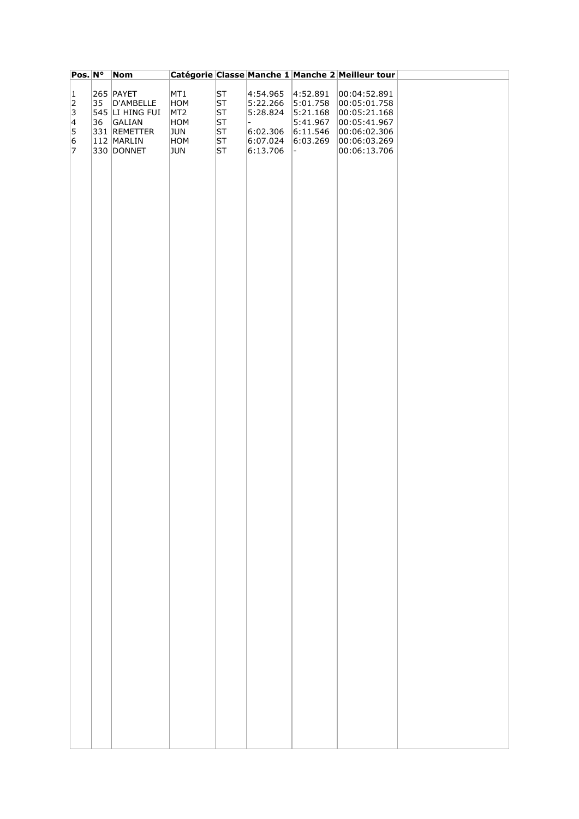| Pos. N°         |    | <b>Nom</b>             |                 |          |                      |                      | Catégorie Classe Manche 1 Manche 2 Meilleur tour |  |
|-----------------|----|------------------------|-----------------|----------|----------------------|----------------------|--------------------------------------------------|--|
|                 |    |                        |                 |          |                      |                      |                                                  |  |
| $\vert$ 1<br> 2 | 35 | 265 PAYET<br>D'AMBELLE | MT1<br>HOM      | ST<br>ST | 4:54.965<br>5:22.266 | 4:52.891<br>5:01.758 | 00:04:52.891<br> 00:05:01.758                    |  |
| 3               |    | $545$ $LI$ hing fui    | MT <sub>2</sub> | ST       | 5:28.824             | 5:21.168             | 00:05:21.168                                     |  |
| $\vert 4 \vert$ | 36 | GALIAN                 | HOM             | ST       |                      | 5:41.967             | 00:05:41.967                                     |  |
| 5               |    | 331 REMETTER           | JUN             | ST       | 6:02.306             | 6:11.546             | 00:06:02.306                                     |  |
| 6               |    | 112 MARLIN             | HOM             | ST       | 6:07.024             | 6:03.269             | 00:06:03.269                                     |  |
| 7               |    | 330 DONNET             | <b>JUN</b>      | ST       | 6:13.706             | $\blacksquare$       | 00:06:13.706                                     |  |
|                 |    |                        |                 |          |                      |                      |                                                  |  |
|                 |    |                        |                 |          |                      |                      |                                                  |  |
|                 |    |                        |                 |          |                      |                      |                                                  |  |
|                 |    |                        |                 |          |                      |                      |                                                  |  |
|                 |    |                        |                 |          |                      |                      |                                                  |  |
|                 |    |                        |                 |          |                      |                      |                                                  |  |
|                 |    |                        |                 |          |                      |                      |                                                  |  |
|                 |    |                        |                 |          |                      |                      |                                                  |  |
|                 |    |                        |                 |          |                      |                      |                                                  |  |
|                 |    |                        |                 |          |                      |                      |                                                  |  |
|                 |    |                        |                 |          |                      |                      |                                                  |  |
|                 |    |                        |                 |          |                      |                      |                                                  |  |
|                 |    |                        |                 |          |                      |                      |                                                  |  |
|                 |    |                        |                 |          |                      |                      |                                                  |  |
|                 |    |                        |                 |          |                      |                      |                                                  |  |
|                 |    |                        |                 |          |                      |                      |                                                  |  |
|                 |    |                        |                 |          |                      |                      |                                                  |  |
|                 |    |                        |                 |          |                      |                      |                                                  |  |
|                 |    |                        |                 |          |                      |                      |                                                  |  |
|                 |    |                        |                 |          |                      |                      |                                                  |  |
|                 |    |                        |                 |          |                      |                      |                                                  |  |
|                 |    |                        |                 |          |                      |                      |                                                  |  |
|                 |    |                        |                 |          |                      |                      |                                                  |  |
|                 |    |                        |                 |          |                      |                      |                                                  |  |
|                 |    |                        |                 |          |                      |                      |                                                  |  |
|                 |    |                        |                 |          |                      |                      |                                                  |  |
|                 |    |                        |                 |          |                      |                      |                                                  |  |
|                 |    |                        |                 |          |                      |                      |                                                  |  |
|                 |    |                        |                 |          |                      |                      |                                                  |  |
|                 |    |                        |                 |          |                      |                      |                                                  |  |
|                 |    |                        |                 |          |                      |                      |                                                  |  |
|                 |    |                        |                 |          |                      |                      |                                                  |  |
|                 |    |                        |                 |          |                      |                      |                                                  |  |
|                 |    |                        |                 |          |                      |                      |                                                  |  |
|                 |    |                        |                 |          |                      |                      |                                                  |  |
|                 |    |                        |                 |          |                      |                      |                                                  |  |
|                 |    |                        |                 |          |                      |                      |                                                  |  |
|                 |    |                        |                 |          |                      |                      |                                                  |  |
|                 |    |                        |                 |          |                      |                      |                                                  |  |
|                 |    |                        |                 |          |                      |                      |                                                  |  |
|                 |    |                        |                 |          |                      |                      |                                                  |  |
|                 |    |                        |                 |          |                      |                      |                                                  |  |
|                 |    |                        |                 |          |                      |                      |                                                  |  |
|                 |    |                        |                 |          |                      |                      |                                                  |  |
|                 |    |                        |                 |          |                      |                      |                                                  |  |
|                 |    |                        |                 |          |                      |                      |                                                  |  |
|                 |    |                        |                 |          |                      |                      |                                                  |  |
|                 |    |                        |                 |          |                      |                      |                                                  |  |
|                 |    |                        |                 |          |                      |                      |                                                  |  |
|                 |    |                        |                 |          |                      |                      |                                                  |  |
|                 |    |                        |                 |          |                      |                      |                                                  |  |
|                 |    |                        |                 |          |                      |                      |                                                  |  |
|                 |    |                        |                 |          |                      |                      |                                                  |  |